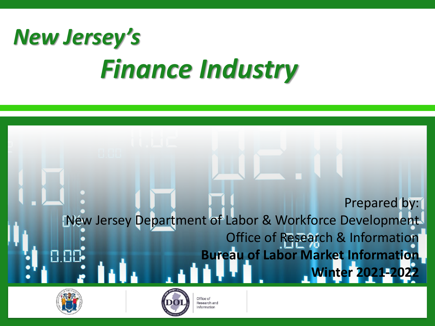# *New Jersey's Finance Industry*







Office of Research and Information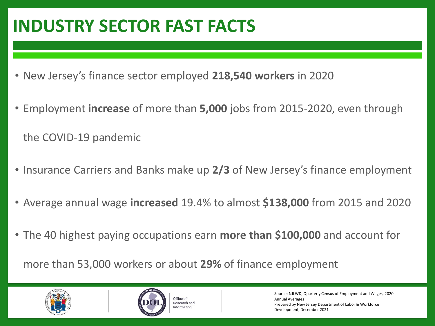## **INDUSTRY SECTOR FAST FACTS**

- New Jersey's finance sector employed **218,540 workers** in 2020
- Employment **increase** of more than **5,000** jobs from 2015-2020, even through the COVID-19 pandemic
- Insurance Carriers and Banks make up **2/3** of New Jersey's finance employment
- Average annual wage **increased** 19.4% to almost **\$138,000** from 2015 and 2020
- The 40 highest paying occupations earn **more than \$100,000** and account for

more than 53,000 workers or about **29%** of finance employment





Source: NJLWD, Quarterly Census of Employment and Wages, 2020 Annual Averages Prepared by New Jersey Department of Labor & Workforce Development, December 2021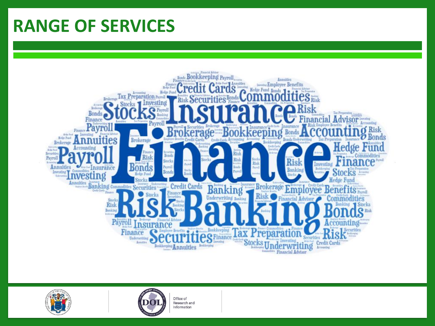## **RANGE OF SERVICES**





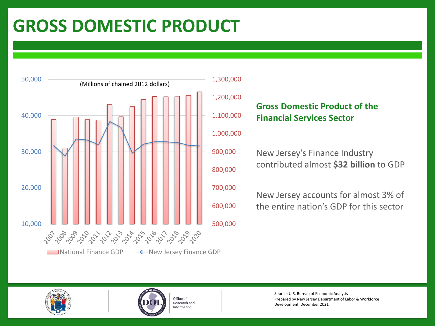## **GROSS DOMESTIC PRODUCT**



#### 1,300,000

#### **Gross Domestic Product of the Financial Services Sector**

#### 1,000,000

New Jersey's Finance Industry contributed almost **\$32 billion** to GDP

New Jersey accounts for almost 3% of the entire nation's GDP for this sector





Source: U.S. Bureau of Economic Analysis Prepared by New Jersey Department of Labor & Workforce Development, December 2021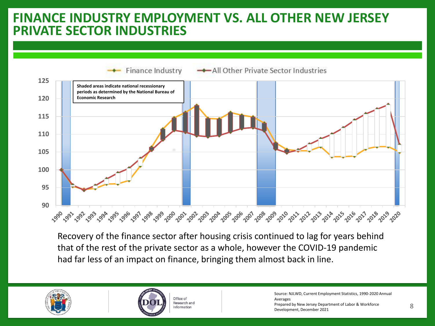### **PRIVATE SECTOR INDUSTRIES FINANCE INDUSTRY EMPLOYMENT VS. ALL OTHER NEW JERSEY**



Recovery of the finance sector after housing crisis continued to lag for years behind that of the rest of the private sector as a whole, however the COVID-19 pandemic had far less of an impact on finance, bringing them almost back in line.





Office of Research and Information

Source: NJLWD, Current Employment Statistics, 1990-2020 Annual Averages Prepared by New Jersey Department of Labor & Workforce Development, December 2021 8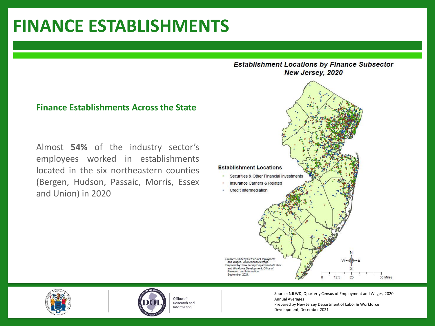## **FINANCE ESTABLISHMENTS**

#### **Finance Establishments Across the State**

Almost **54%** of the industry sector's employees worked in establishments located in the six northeastern counties (Bergen, Hudson, Passaic, Morris, Essex and Union) in 2020







Office of Research and Information

Source: NJLWD, Quarterly Census of Employment and Wages, 2020 Annual Averages Prepared by New Jersey Department of Labor & Workforce Development, December 2021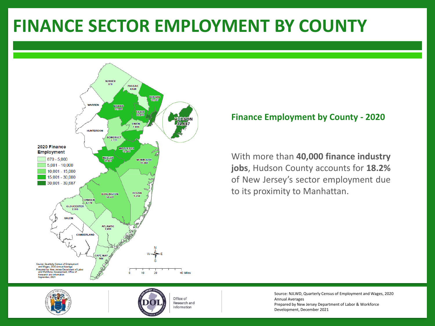## **FINANCE SECTOR EMPLOYMENT BY COUNTY**



#### **Finance Employment by County - 2020**

With more than **40,000 finance industry jobs**, Hudson County accounts for **18.2%** of New Jersey's sector employment due to its proximity to Manhattan.





Office of Research and Information

Source: NJLWD, Quarterly Census of Employment and Wages, 2020 Annual Averages Prepared by New Jersey Department of Labor & Workforce Development, December 2021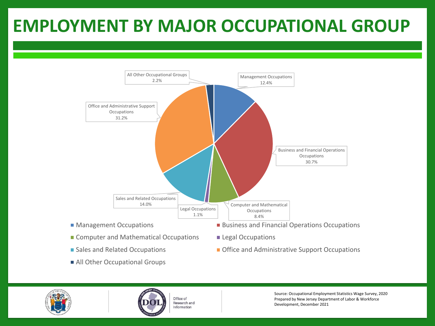## **EMPLOYMENT BY MAJOR OCCUPATIONAL GROUP**



- 
- All Other Occupational Groups
- Sales and Related Occupations Office and Administrative Support Occupations





Source: Occupational Employment Statistics Wage Survey, 2020 Prepared by New Jersey Department of Labor & Workforce Development, December 2021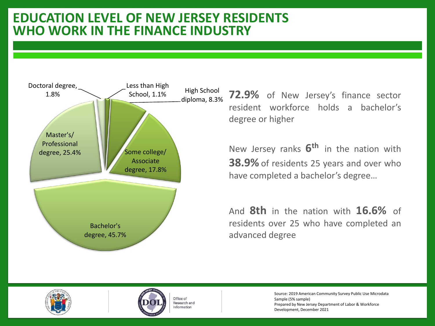### **EDUCATION LEVEL OF NEW JERSEY RESIDENTS WHO WORK IN THE FINANCE INDUSTRY**



**72.9%** of New Jersey's finance sector resident workforce holds a bachelor's degree or higher

New Jersey ranks **6 th** in the nation with **38.9%**of residents 25 years and over who have completed a bachelor's degree…

And **8th** in the nation with **16.6%** of residents over 25 who have completed an advanced degree





Office of Research and Information

Source: 2019 American Community Survey Public Use Microdata Sample (5% sample) Prepared by New Jersey Department of Labor & Workforce Development, December 2021